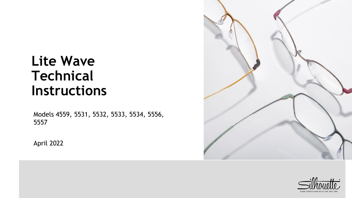# **Lite Wave Technical Instructions**

Models 4559, 5531, 5532, 5533, 5534, 5556, 5557

April 2022



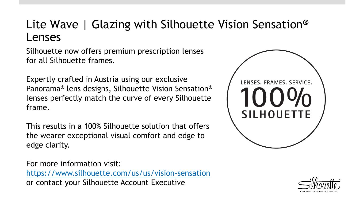# Lite Wave | Glazing with Silhouette Vision Sensation**®** Lenses

Silhouette now offers premium prescription lenses for all Silhouette frames.

Expertly crafted in Austria using our exclusive Panorama**®** lens designs, Silhouette Vision Sensation**®** lenses perfectly match the curve of every Silhouette frame.

This results in a 100% Silhouette solution that offers the wearer exceptional visual comfort and edge to edge clarity.

For more information visit: <https://www.silhouette.com/us/us/vision-sensation> or contact your Silhouette Account Executive



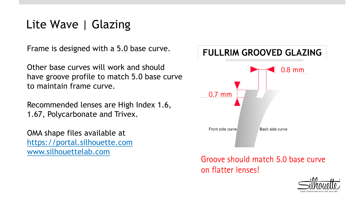# Lite Wave | Glazing

Frame is designed with a 5.0 base curve.

Other base curves will work and should have groove profile to match 5.0 base curve to maintain frame curve.

Recommended lenses are High Index 1.6, 1.67, Polycarbonate and Trivex.

OMA shape files available at [https://portal.silhouette.com](https://portal.silhouette.com/) [www.silhouettelab.com](http://www.silhouettelab.com/)

#### **FULLRIM GROOVED GLAZING**



Groove should match 5.0 base curve on flatter lenses!

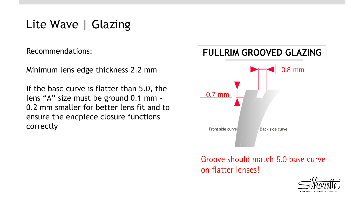# Lite Wave | Glazing

Recommendations:

Minimum lens edge thickness 2.2 mm

If the base curve is flatter than 5.0, the lens "A" size must be ground 0.1 mm – 0.2 mm smaller for better lens fit and to ensure the endpiece closure functions correctly

#### **FULLRIM GROOVED GLAZING**



Groove should match 5.0 base curve on flatter lenses!

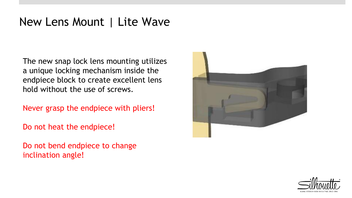# New Lens Mount | Lite Wave

The new snap lock lens mounting utilizes a unique locking mechanism inside the endpiece block to create excellent lens hold without the use of screws.

Never grasp the endpiece with pliers!

Do not heat the endpiece!

Do not bend endpiece to change inclination angle!



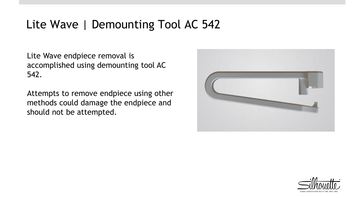# Lite Wave | Demounting Tool AC 542

Lite Wave endpiece removal is accomplished using demounting tool AC 542.

Attempts to remove endpiece using other methods could damage the endpiece and should not be attempted.



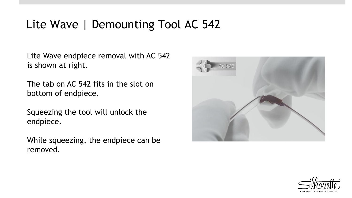# Lite Wave | Demounting Tool AC 542

Lite Wave endpiece removal with AC 542 is shown at right.

The tab on AC 542 fits in the slot on bottom of endpiece.

Squeezing the tool will unlock the endpiece.

While squeezing, the endpiece can be removed.



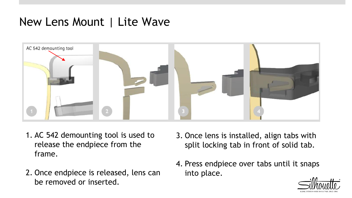# New Lens Mount | Lite Wave



- 1. AC 542 demounting tool is used to release the endpiece from the frame.
- 2. Once endpiece is released, lens can be removed or inserted.
- 3. Once lens is installed, align tabs with split locking tab in front of solid tab.
- 4. Press endpiece over tabs until it snaps into place.

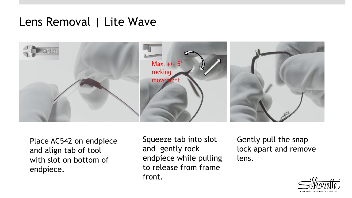#### Lens Removal | Lite Wave



Place AC542 on endpiece and align tab of tool with slot on bottom of endpiece.

Squeeze tab into slot and gently rock endpiece while pulling to release from frame front.

Gently pull the snap lock apart and remove lens.

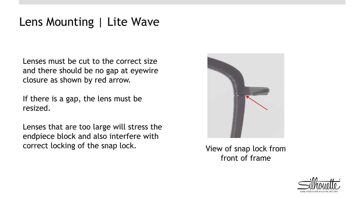Lenses must be cut to the correct size and there should be no gap at eyewire closure as shown by red arrow.

If there is a gap, the lens must be resized.

Lenses that are too large will stress the endpiece block and also interfere with correct locking of the snap lock. View of snap lock from



front of frame

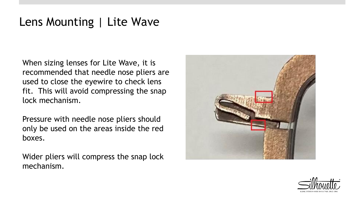When sizing lenses for Lite Wave, it is recommended that needle nose pliers are used to close the eyewire to check lens fit. This will avoid compressing the snap lock mechanism.

Pressure with needle nose pliers should only be used on the areas inside the red boxes.

Wider pliers will compress the snap lock mechanism.



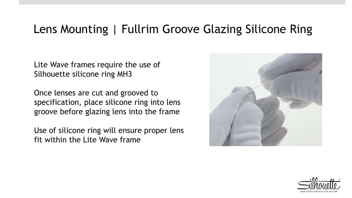# Lens Mounting | Fullrim Groove Glazing Silicone Ring

Lite Wave frames require the use of Silhouette silicone ring MH3

Once lenses are cut and grooved to specification, place silicone ring into lens groove before glazing lens into the frame

Use of silicone ring will ensure proper lens fit within the Lite Wave frame



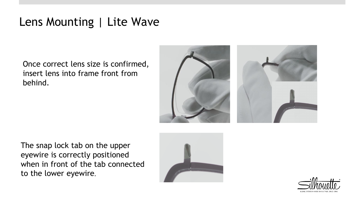Once correct lens size is confirmed, insert lens into frame front from behind.



The snap lock tab on the upper eyewire is correctly positioned when in front of the tab connected to the lower eyewire



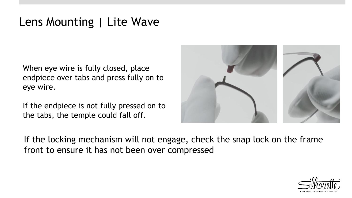When eye wire is fully closed, place endpiece over tabs and press fully on to eye wire.

If the endpiece is not fully pressed on to the tabs, the temple could fall off.



If the locking mechanism will not engage, check the snap lock on the frame front to ensure it has not been over compressed

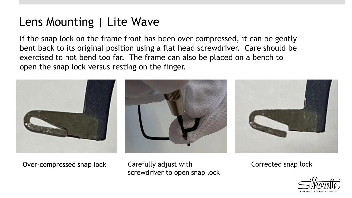If the snap lock on the frame front has been over compressed, it can be gently bent back to its original position using a flat head screwdriver. Care should be exercised to not bend too far. The frame can also be placed on a bench to open the snap lock versus resting on the finger.



Over-compressed snap lock Carefully adjust with Corrected snap lock screwdriver to open snap lock

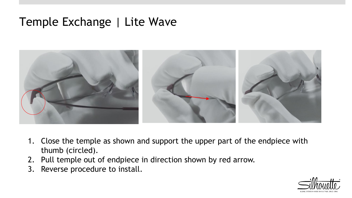# Temple Exchange | Lite Wave



- 1. Close the temple as shown and support the upper part of the endpiece with thumb (circled).
- 2. Pull temple out of endpiece in direction shown by red arrow.
- 3. Reverse procedure to install.

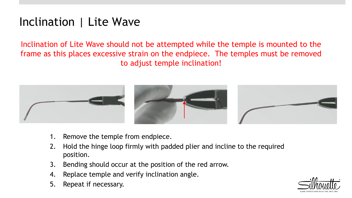# Inclination | Lite Wave

Inclination of Lite Wave should not be attempted while the temple is mounted to the frame as this places excessive strain on the endpiece. The temples must be removed to adjust temple inclination!



- 1. Remove the temple from endpiece.
- 2. Hold the hinge loop firmly with padded plier and incline to the required position.
- 3. Bending should occur at the position of the red arrow.
- 4. Replace temple and verify inclination angle.
- 5. Repeat if necessary.

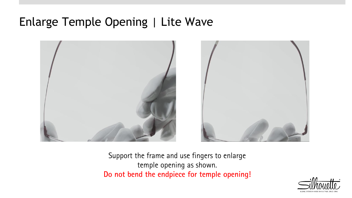# Enlarge Temple Opening | Lite Wave



Support the frame and use fingers to enlarge temple opening as shown. Do not bend the endpiece for temple opening!

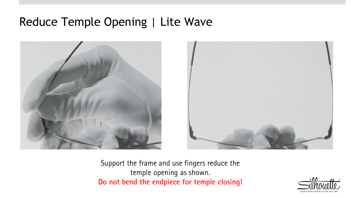# Reduce Temple Opening | Lite Wave





Support the frame and use fingers reduce the temple opening as shown. Do not bend the endpiece for temple closing!

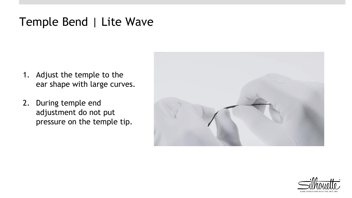# Temple Bend | Lite Wave

- 1. Adjust the temple to the ear shape with large curves.
- 2. During temple end adjustment do not put pressure on the temple tip.



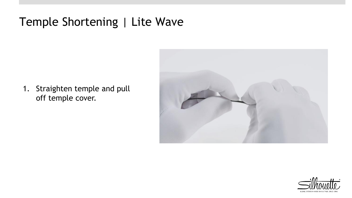# Temple Shortening | Lite Wave

1. Straighten temple and pull off temple cover.



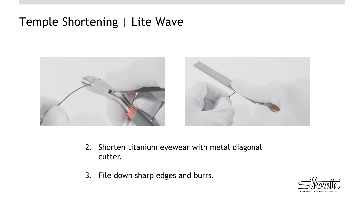# Temple Shortening | Lite Wave



- 2. Shorten titanium eyewear with metal diagonal cutter.
- 3. File down sharp edges and burrs.

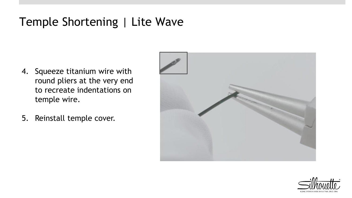# Temple Shortening | Lite Wave

- 4. Squeeze titanium wire with round pliers at the very end to recreate indentations on temple wire.
- 5. Reinstall temple cover.



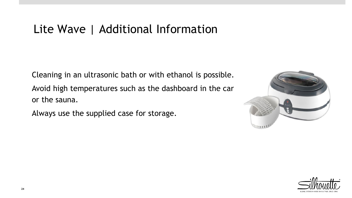# Lite Wave | Additional Information

Cleaning in an ultrasonic bath or with ethanol is possible. Avoid high temperatures such as the dashboard in the car or the sauna.

Always use the supplied case for storage.